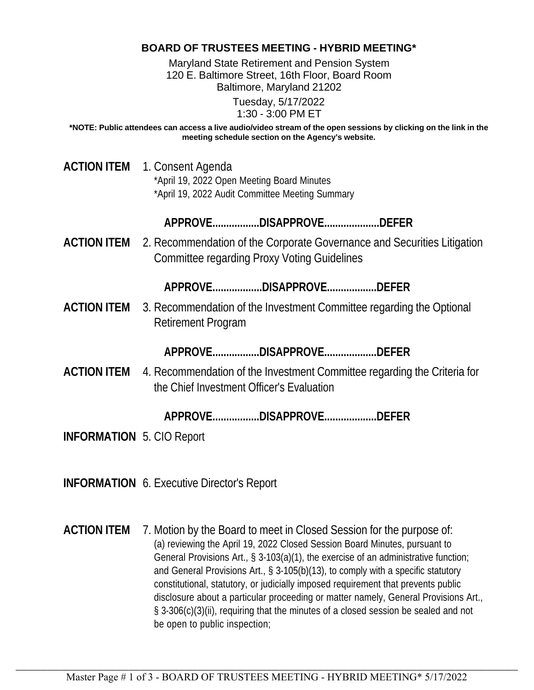## **BOARD OF TRUSTEES MEETING - HYBRID MEETING\***

Maryland State Retirement and Pension System 120 E. Baltimore Street, 16th Floor, Board Room Baltimore, Maryland 21202

> Tuesday, 5/17/2022 1:30 - 3:00 PM ET

**\*NOTE: Public attendees can access a live audio/video stream of the open sessions by clicking on the link in the meeting schedule section on the Agency's website.**

**ACTION ITEM** 1. Consent Agenda \*April 19, 2022 Open Meeting Board Minutes \*April 19, 2022 Audit Committee Meeting Summary

**APPROVE.................DISAPPROVE....................DEFER**

**ACTION ITEM** 2. Recommendation of the Corporate Governance and Securities Litigation Committee regarding Proxy Voting Guidelines

**APPROVE..................DISAPPROVE..................DEFER**

**ACTION ITEM** 3. Recommendation of the Investment Committee regarding the Optional Retirement Program

**APPROVE.................DISAPPROVE...................DEFER**

**ACTION ITEM** 4. Recommendation of the Investment Committee regarding the Criteria for the Chief Investment Officer's Evaluation

**APPROVE.................DISAPPROVE...................DEFER**

**INFORMATION** 5. CIO Report

**INFORMATION** 6. Executive Director's Report

**ACTION ITEM** 7. Motion by the Board to meet in Closed Session for the purpose of: (a) reviewing the April 19, 2022 Closed Session Board Minutes, pursuant to General Provisions Art., § 3-103(a)(1), the exercise of an administrative function; and General Provisions Art., § 3-105(b)(13), to comply with a specific statutory constitutional, statutory, or judicially imposed requirement that prevents public disclosure about a particular proceeding or matter namely, General Provisions Art., § 3-306(c)(3)(ii), requiring that the minutes of a closed session be sealed and not be open to public inspection;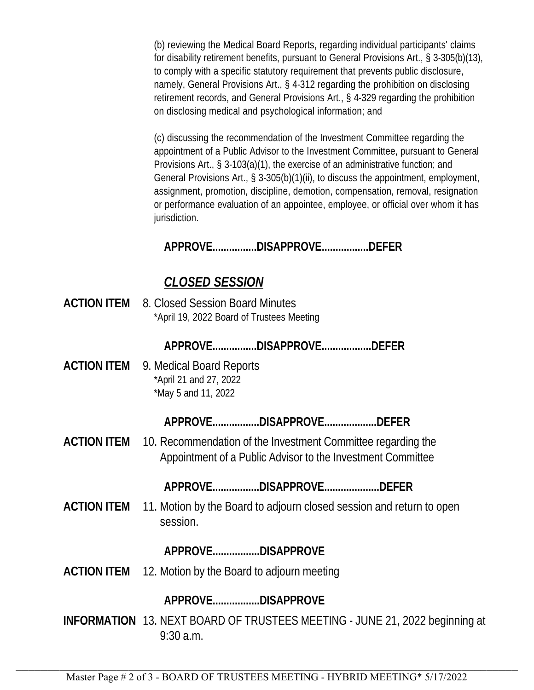(b) reviewing the Medical Board Reports, regarding individual participants' claims for disability retirement benefits, pursuant to General Provisions Art., § 3-305(b)(13), to comply with a specific statutory requirement that prevents public disclosure, namely, General Provisions Art., § 4-312 regarding the prohibition on disclosing retirement records, and General Provisions Art., § 4-329 regarding the prohibition on disclosing medical and psychological information; and

(c) discussing the recommendation of the Investment Committee regarding the appointment of a Public Advisor to the Investment Committee, pursuant to General Provisions Art., § 3-103(a)(1), the exercise of an administrative function; and General Provisions Art., § 3-305(b)(1)(ii), to discuss the appointment, employment, assignment, promotion, discipline, demotion, compensation, removal, resignation or performance evaluation of an appointee, employee, or official over whom it has jurisdiction.

**APPROVE................DISAPPROVE.................DEFER**

## *CLOSED SESSION*

**ACTION ITEM** 8. Closed Session Board Minutes \*April 19, 2022 Board of Trustees Meeting

**APPROVE................DISAPPROVE..................DEFER**

**ACTION ITEM** 9. Medical Board Reports \*April 21 and 27, 2022 \*May 5 and 11, 2022

**APPROVE.................DISAPPROVE...................DEFER**

**ACTION ITEM** 10. Recommendation of the Investment Committee regarding the Appointment of a Public Advisor to the Investment Committee

**APPROVE.................DISAPPROVE....................DEFER**

**ACTION ITEM** 11. Motion by the Board to adjourn closed session and return to open session.

**APPROVE.................DISAPPROVE**

**ACTION ITEM** 12. Motion by the Board to adjourn meeting

**APPROVE.................DISAPPROVE**

**INFORMATION** 13. NEXT BOARD OF TRUSTEES MEETING - JUNE 21, 2022 beginning at 9:30 a.m.